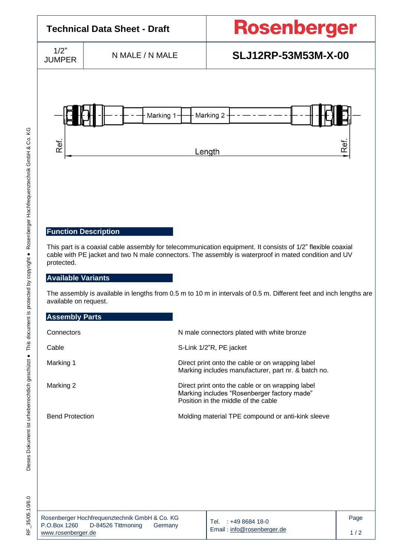

[www.rosenberger.de](http://www.rosenberger.de/)

Email [: info@rosenberger.de](mailto:info@rosenberger.de)

 $1/2$